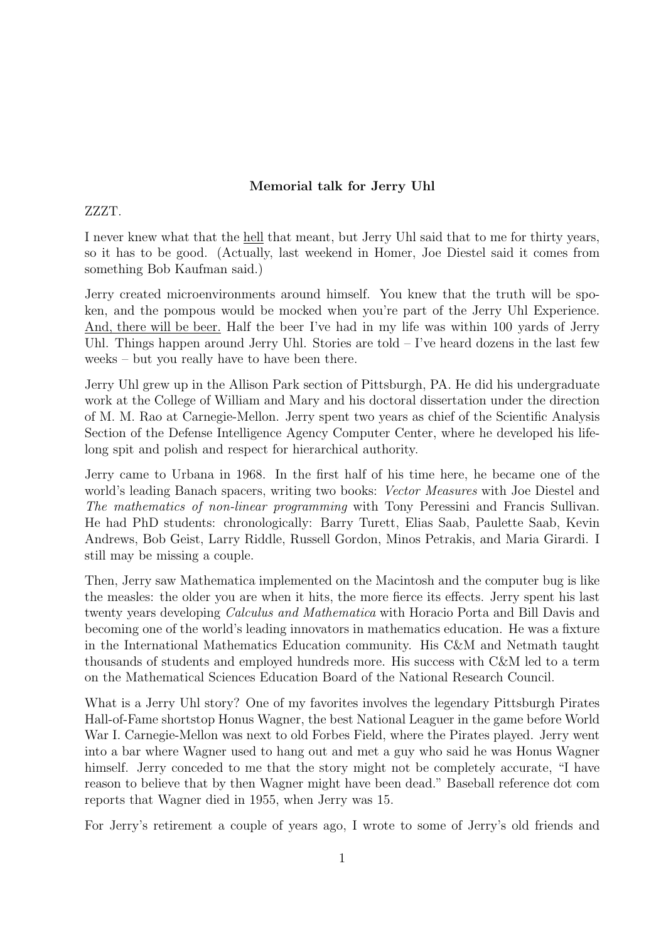## Memorial talk for Jerry Uhl

## ZZZT.

I never knew what that the hell that meant, but Jerry Uhl said that to me for thirty years, so it has to be good. (Actually, last weekend in Homer, Joe Diestel said it comes from something Bob Kaufman said.)

Jerry created microenvironments around himself. You knew that the truth will be spoken, and the pompous would be mocked when you're part of the Jerry Uhl Experience. And, there will be beer. Half the beer I've had in my life was within 100 yards of Jerry Uhl. Things happen around Jerry Uhl. Stories are told  $-$  I've heard dozens in the last few weeks – but you really have to have been there.

Jerry Uhl grew up in the Allison Park section of Pittsburgh, PA. He did his undergraduate work at the College of William and Mary and his doctoral dissertation under the direction of M. M. Rao at Carnegie-Mellon. Jerry spent two years as chief of the Scientific Analysis Section of the Defense Intelligence Agency Computer Center, where he developed his lifelong spit and polish and respect for hierarchical authority.

Jerry came to Urbana in 1968. In the first half of his time here, he became one of the world's leading Banach spacers, writing two books: Vector Measures with Joe Diestel and The mathematics of non-linear programming with Tony Peressini and Francis Sullivan. He had PhD students: chronologically: Barry Turett, Elias Saab, Paulette Saab, Kevin Andrews, Bob Geist, Larry Riddle, Russell Gordon, Minos Petrakis, and Maria Girardi. I still may be missing a couple.

Then, Jerry saw Mathematica implemented on the Macintosh and the computer bug is like the measles: the older you are when it hits, the more fierce its effects. Jerry spent his last twenty years developing Calculus and Mathematica with Horacio Porta and Bill Davis and becoming one of the world's leading innovators in mathematics education. He was a fixture in the International Mathematics Education community. His C&M and Netmath taught thousands of students and employed hundreds more. His success with C&M led to a term on the Mathematical Sciences Education Board of the National Research Council.

What is a Jerry Uhl story? One of my favorites involves the legendary Pittsburgh Pirates Hall-of-Fame shortstop Honus Wagner, the best National Leaguer in the game before World War I. Carnegie-Mellon was next to old Forbes Field, where the Pirates played. Jerry went into a bar where Wagner used to hang out and met a guy who said he was Honus Wagner himself. Jerry conceded to me that the story might not be completely accurate, "I have reason to believe that by then Wagner might have been dead." Baseball reference dot com reports that Wagner died in 1955, when Jerry was 15.

For Jerry's retirement a couple of years ago, I wrote to some of Jerry's old friends and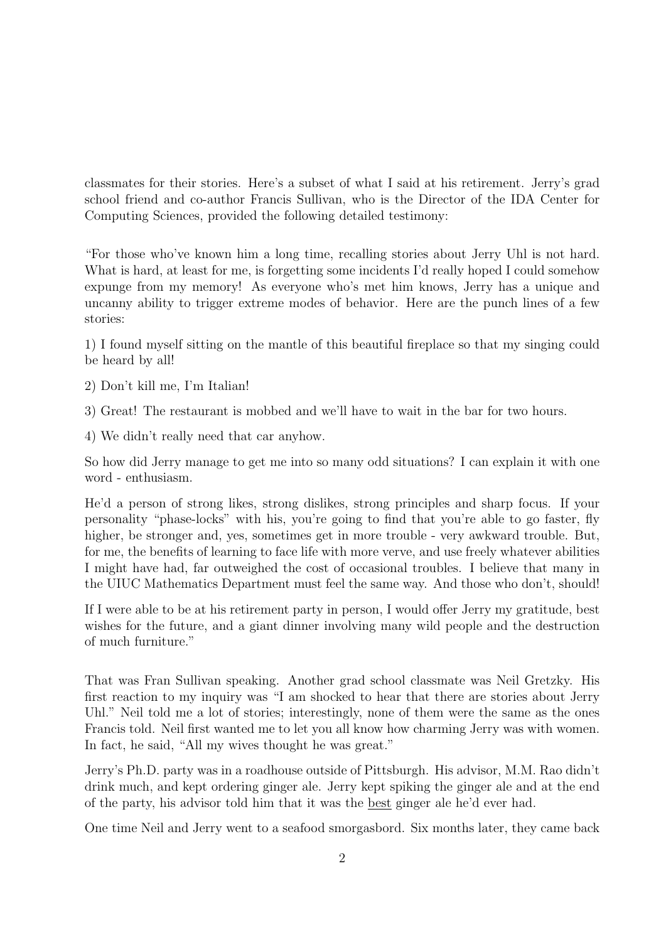classmates for their stories. Here's a subset of what I said at his retirement. Jerry's grad school friend and co-author Francis Sullivan, who is the Director of the IDA Center for Computing Sciences, provided the following detailed testimony:

"For those who've known him a long time, recalling stories about Jerry Uhl is not hard. What is hard, at least for me, is forgetting some incidents I'd really hoped I could somehow expunge from my memory! As everyone who's met him knows, Jerry has a unique and uncanny ability to trigger extreme modes of behavior. Here are the punch lines of a few stories:

1) I found myself sitting on the mantle of this beautiful fireplace so that my singing could be heard by all!

- 2) Don't kill me, I'm Italian!
- 3) Great! The restaurant is mobbed and we'll have to wait in the bar for two hours.
- 4) We didn't really need that car anyhow.

So how did Jerry manage to get me into so many odd situations? I can explain it with one word - enthusiasm.

He'd a person of strong likes, strong dislikes, strong principles and sharp focus. If your personality "phase-locks" with his, you're going to find that you're able to go faster, fly higher, be stronger and, yes, sometimes get in more trouble - very awkward trouble. But, for me, the benefits of learning to face life with more verve, and use freely whatever abilities I might have had, far outweighed the cost of occasional troubles. I believe that many in the UIUC Mathematics Department must feel the same way. And those who don't, should!

If I were able to be at his retirement party in person, I would offer Jerry my gratitude, best wishes for the future, and a giant dinner involving many wild people and the destruction of much furniture."

That was Fran Sullivan speaking. Another grad school classmate was Neil Gretzky. His first reaction to my inquiry was "I am shocked to hear that there are stories about Jerry Uhl." Neil told me a lot of stories; interestingly, none of them were the same as the ones Francis told. Neil first wanted me to let you all know how charming Jerry was with women. In fact, he said, "All my wives thought he was great."

Jerry's Ph.D. party was in a roadhouse outside of Pittsburgh. His advisor, M.M. Rao didn't drink much, and kept ordering ginger ale. Jerry kept spiking the ginger ale and at the end of the party, his advisor told him that it was the best ginger ale he'd ever had.

One time Neil and Jerry went to a seafood smorgasbord. Six months later, they came back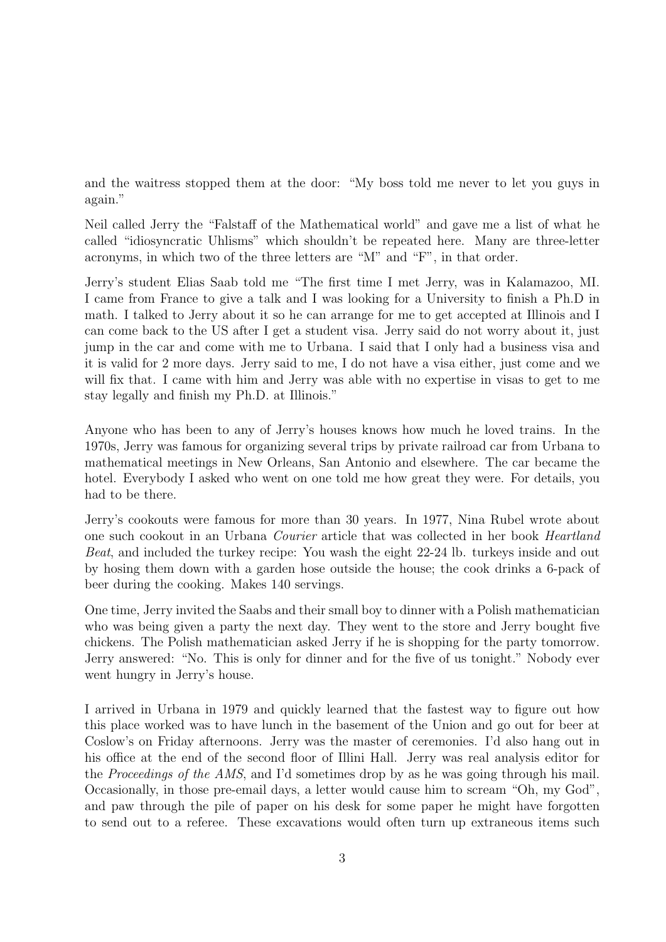and the waitress stopped them at the door: "My boss told me never to let you guys in again."

Neil called Jerry the "Falstaff of the Mathematical world" and gave me a list of what he called "idiosyncratic Uhlisms" which shouldn't be repeated here. Many are three-letter acronyms, in which two of the three letters are "M" and "F", in that order.

Jerry's student Elias Saab told me "The first time I met Jerry, was in Kalamazoo, MI. I came from France to give a talk and I was looking for a University to finish a Ph.D in math. I talked to Jerry about it so he can arrange for me to get accepted at Illinois and I can come back to the US after I get a student visa. Jerry said do not worry about it, just jump in the car and come with me to Urbana. I said that I only had a business visa and it is valid for 2 more days. Jerry said to me, I do not have a visa either, just come and we will fix that. I came with him and Jerry was able with no expertise in visas to get to me stay legally and finish my Ph.D. at Illinois."

Anyone who has been to any of Jerry's houses knows how much he loved trains. In the 1970s, Jerry was famous for organizing several trips by private railroad car from Urbana to mathematical meetings in New Orleans, San Antonio and elsewhere. The car became the hotel. Everybody I asked who went on one told me how great they were. For details, you had to be there.

Jerry's cookouts were famous for more than 30 years. In 1977, Nina Rubel wrote about one such cookout in an Urbana Courier article that was collected in her book Heartland Beat, and included the turkey recipe: You wash the eight 22-24 lb. turkeys inside and out by hosing them down with a garden hose outside the house; the cook drinks a 6-pack of beer during the cooking. Makes 140 servings.

One time, Jerry invited the Saabs and their small boy to dinner with a Polish mathematician who was being given a party the next day. They went to the store and Jerry bought five chickens. The Polish mathematician asked Jerry if he is shopping for the party tomorrow. Jerry answered: "No. This is only for dinner and for the five of us tonight." Nobody ever went hungry in Jerry's house.

I arrived in Urbana in 1979 and quickly learned that the fastest way to figure out how this place worked was to have lunch in the basement of the Union and go out for beer at Coslow's on Friday afternoons. Jerry was the master of ceremonies. I'd also hang out in his office at the end of the second floor of Illini Hall. Jerry was real analysis editor for the Proceedings of the AMS, and I'd sometimes drop by as he was going through his mail. Occasionally, in those pre-email days, a letter would cause him to scream "Oh, my God", and paw through the pile of paper on his desk for some paper he might have forgotten to send out to a referee. These excavations would often turn up extraneous items such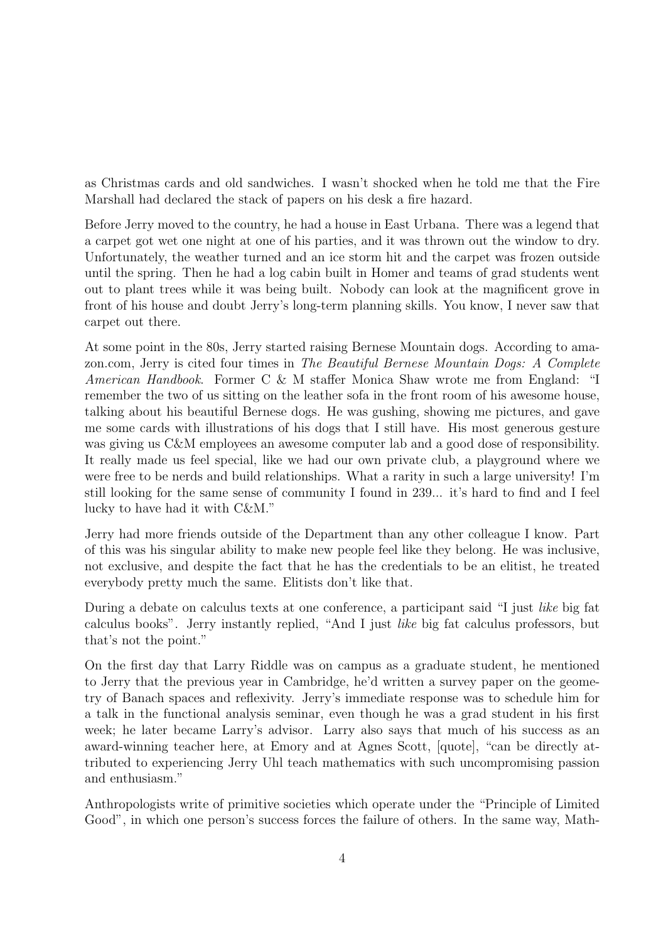as Christmas cards and old sandwiches. I wasn't shocked when he told me that the Fire Marshall had declared the stack of papers on his desk a fire hazard.

Before Jerry moved to the country, he had a house in East Urbana. There was a legend that a carpet got wet one night at one of his parties, and it was thrown out the window to dry. Unfortunately, the weather turned and an ice storm hit and the carpet was frozen outside until the spring. Then he had a log cabin built in Homer and teams of grad students went out to plant trees while it was being built. Nobody can look at the magnificent grove in front of his house and doubt Jerry's long-term planning skills. You know, I never saw that carpet out there.

At some point in the 80s, Jerry started raising Bernese Mountain dogs. According to amazon.com, Jerry is cited four times in The Beautiful Bernese Mountain Dogs: A Complete American Handbook. Former C & M staffer Monica Shaw wrote me from England: "I remember the two of us sitting on the leather sofa in the front room of his awesome house, talking about his beautiful Bernese dogs. He was gushing, showing me pictures, and gave me some cards with illustrations of his dogs that I still have. His most generous gesture was giving us C&M employees an awesome computer lab and a good dose of responsibility. It really made us feel special, like we had our own private club, a playground where we were free to be nerds and build relationships. What a rarity in such a large university! I'm still looking for the same sense of community I found in 239... it's hard to find and I feel lucky to have had it with C&M."

Jerry had more friends outside of the Department than any other colleague I know. Part of this was his singular ability to make new people feel like they belong. He was inclusive, not exclusive, and despite the fact that he has the credentials to be an elitist, he treated everybody pretty much the same. Elitists don't like that.

During a debate on calculus texts at one conference, a participant said "I just like big fat calculus books". Jerry instantly replied, "And I just like big fat calculus professors, but that's not the point."

On the first day that Larry Riddle was on campus as a graduate student, he mentioned to Jerry that the previous year in Cambridge, he'd written a survey paper on the geometry of Banach spaces and reflexivity. Jerry's immediate response was to schedule him for a talk in the functional analysis seminar, even though he was a grad student in his first week; he later became Larry's advisor. Larry also says that much of his success as an award-winning teacher here, at Emory and at Agnes Scott, [quote], "can be directly attributed to experiencing Jerry Uhl teach mathematics with such uncompromising passion and enthusiasm."

Anthropologists write of primitive societies which operate under the "Principle of Limited Good", in which one person's success forces the failure of others. In the same way, Math